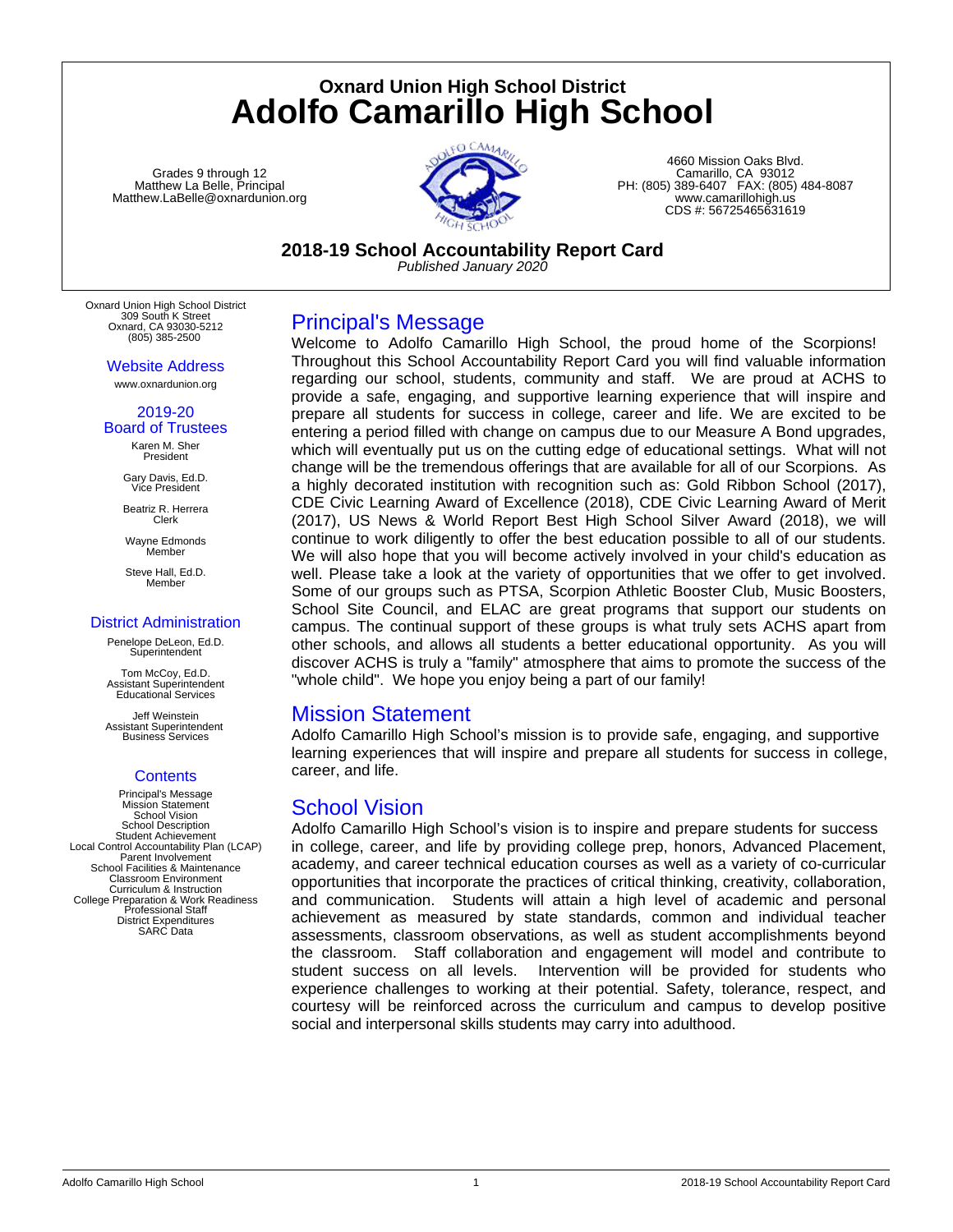# **Oxnard Union High School District Adolfo Camarillo High School**

Grades 9 through 12 Matthew La Belle, Principal Matthew.LaBelle@oxnardunion.org



4660 Mission Oaks Blvd. Camarillo, CA 93012 PH: (805) 389-6407 FAX: (805) 484-8087 www.camarillohigh.us CDS #: 56725465631619

**2018-19 School Accountability Report Card**

*Published January 2020*

Oxnard Union High School District 309 South K Street Oxnard, CA 93030-5212 (805) 385-2500

Website Address

www.oxnardunion.org

#### 2019-20 Board of Trustees

Karen M. Sher President

Gary Davis, Ed.D. Vice President

Beatriz R. Herrera Clerk

Wayne Edmonds Member

Steve Hall, Ed.D. **Member** 

#### District Administration

Penelope DeLeon, Ed.D. Superintendent

Tom McCoy, Ed.D. Assistant Superintendent Educational Services

Jeff Weinstein Assistant Superintendent Business Services

## **Contents**

Principal's Message **Mission Statement** School Vision School Description Student Achievement Local Control Accountability Plan (LCAP) Parent Involvement School Facilities & Maintenance Classroom Environment Curriculum & Instruction College Preparation & Work Readiness Professional Staff District Expenditures SARC Data

Principal's Message

Welcome to Adolfo Camarillo High School, the proud home of the Scorpions! Throughout this School Accountability Report Card you will find valuable information regarding our school, students, community and staff. We are proud at ACHS to provide a safe, engaging, and supportive learning experience that will inspire and prepare all students for success in college, career and life. We are excited to be entering a period filled with change on campus due to our Measure A Bond upgrades, which will eventually put us on the cutting edge of educational settings. What will not change will be the tremendous offerings that are available for all of our Scorpions. As a highly decorated institution with recognition such as: Gold Ribbon School (2017), CDE Civic Learning Award of Excellence (2018), CDE Civic Learning Award of Merit (2017), US News & World Report Best High School Silver Award (2018), we will continue to work diligently to offer the best education possible to all of our students. We will also hope that you will become actively involved in your child's education as well. Please take a look at the variety of opportunities that we offer to get involved. Some of our groups such as PTSA, Scorpion Athletic Booster Club, Music Boosters, School Site Council, and ELAC are great programs that support our students on campus. The continual support of these groups is what truly sets ACHS apart from other schools, and allows all students a better educational opportunity. As you will discover ACHS is truly a "family" atmosphere that aims to promote the success of the "whole child". We hope you enjoy being a part of our family!

## Mission Statement

Adolfo Camarillo High School's mission is to provide safe, engaging, and supportive learning experiences that will inspire and prepare all students for success in college, career, and life.

## School Vision

Adolfo Camarillo High School's vision is to inspire and prepare students for success in college, career, and life by providing college prep, honors, Advanced Placement, academy, and career technical education courses as well as a variety of co-curricular opportunities that incorporate the practices of critical thinking, creativity, collaboration, and communication. Students will attain a high level of academic and personal achievement as measured by state standards, common and individual teacher assessments, classroom observations, as well as student accomplishments beyond the classroom. Staff collaboration and engagement will model and contribute to student success on all levels. Intervention will be provided for students who experience challenges to working at their potential. Safety, tolerance, respect, and courtesy will be reinforced across the curriculum and campus to develop positive social and interpersonal skills students may carry into adulthood.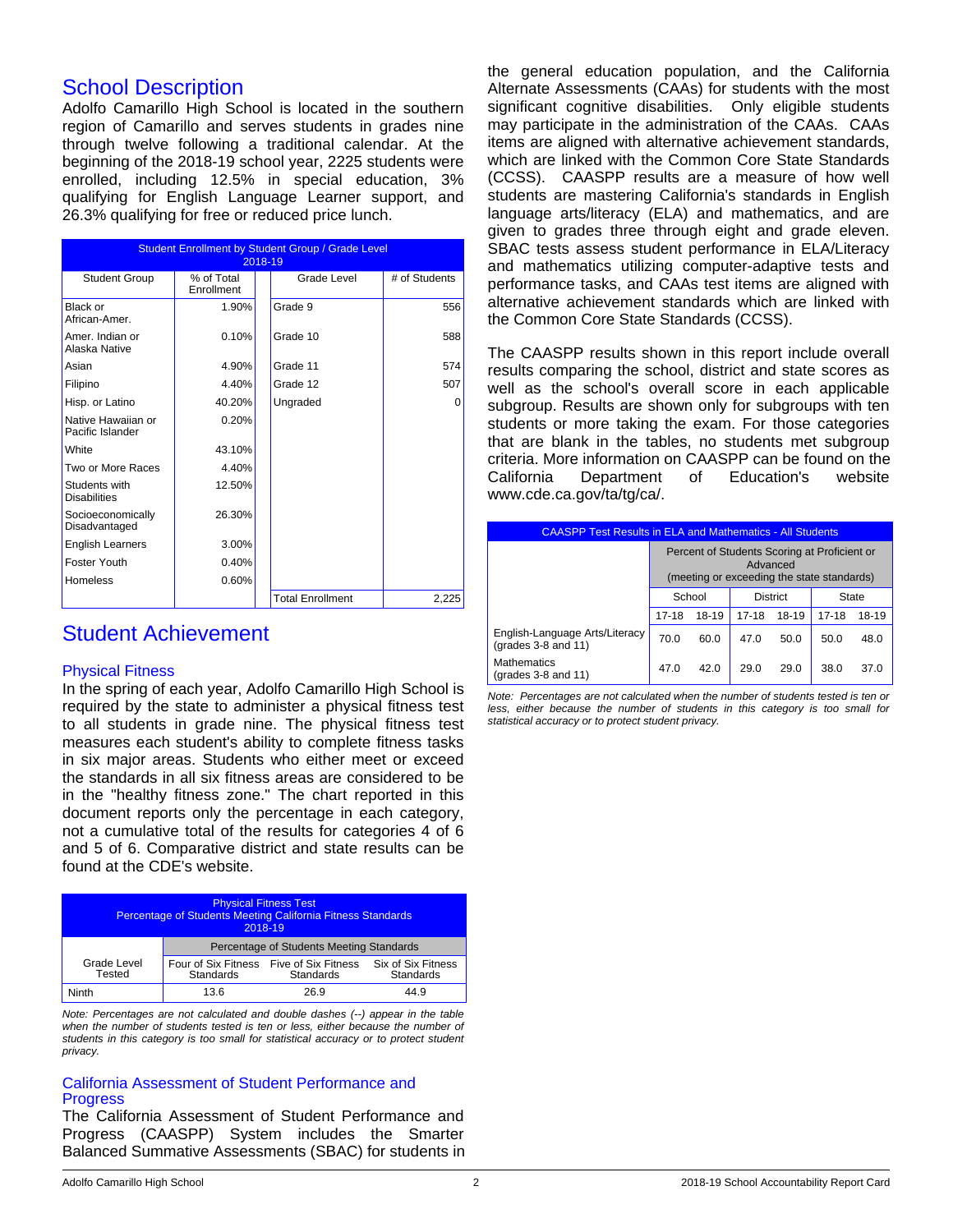## School Description

Adolfo Camarillo High School is located in the southern region of Camarillo and serves students in grades nine through twelve following a traditional calendar. At the beginning of the 2018-19 school year, 2225 students were enrolled, including 12.5% in special education, 3% qualifying for English Language Learner support, and 26.3% qualifying for free or reduced price lunch.

| <b>Student Enrollment by Student Group / Grade Level</b><br>2018-19 |                          |  |                         |               |
|---------------------------------------------------------------------|--------------------------|--|-------------------------|---------------|
| <b>Student Group</b>                                                | % of Total<br>Enrollment |  | Grade Level             | # of Students |
| Black or<br>African-Amer.                                           | 1.90%                    |  | Grade 9                 | 556           |
| Amer. Indian or<br>Alaska Native                                    | 0.10%                    |  | Grade 10                | 588           |
| Asian                                                               | 4.90%                    |  | Grade 11                | 574           |
| Filipino                                                            | 4.40%                    |  | Grade 12                | 507           |
| Hisp. or Latino                                                     | 40.20%                   |  | Ungraded                | 0             |
| Native Hawaiian or<br>Pacific Islander                              | 0.20%                    |  |                         |               |
| White                                                               | 43.10%                   |  |                         |               |
| Two or More Races                                                   | 4.40%                    |  |                         |               |
| Students with<br><b>Disabilities</b>                                | 12.50%                   |  |                         |               |
| Socioeconomically<br>Disadvantaged                                  | 26.30%                   |  |                         |               |
| <b>English Learners</b>                                             | 3.00%                    |  |                         |               |
| Foster Youth                                                        | 0.40%                    |  |                         |               |
| <b>Homeless</b>                                                     | 0.60%                    |  |                         |               |
|                                                                     |                          |  | <b>Total Enrollment</b> | 2,225         |

## Student Achievement

#### Physical Fitness

In the spring of each year, Adolfo Camarillo High School is required by the state to administer a physical fitness test to all students in grade nine. The physical fitness test measures each student's ability to complete fitness tasks in six major areas. Students who either meet or exceed the standards in all six fitness areas are considered to be in the "healthy fitness zone." The chart reported in this document reports only the percentage in each category, not a cumulative total of the results for categories 4 of 6 and 5 of 6. Comparative district and state results can be found at the CDE's website.

| <b>Physical Fitness Test</b><br>Percentage of Students Meeting California Fitness Standards<br>2018-19 |                                          |                                  |                                 |  |
|--------------------------------------------------------------------------------------------------------|------------------------------------------|----------------------------------|---------------------------------|--|
|                                                                                                        | Percentage of Students Meeting Standards |                                  |                                 |  |
| Grade Level<br>Tested                                                                                  | Four of Six Fitness<br><b>Standards</b>  | Five of Six Fitness<br>Standards | Six of Six Fitness<br>Standards |  |
| Ninth                                                                                                  | 13.6                                     | 26.9                             | 44.9                            |  |

*Note: Percentages are not calculated and double dashes (--) appear in the table when the number of students tested is ten or less, either because the number of students in this category is too small for statistical accuracy or to protect student privacy.*

#### California Assessment of Student Performance and **Progress**

The California Assessment of Student Performance and Progress (CAASPP) System includes the Smarter Balanced Summative Assessments (SBAC) for students in the general education population, and the California Alternate Assessments (CAAs) for students with the most significant cognitive disabilities. Only eligible students may participate in the administration of the CAAs. CAAs items are aligned with alternative achievement standards, which are linked with the Common Core State Standards (CCSS). CAASPP results are a measure of how well students are mastering California's standards in English language arts/literacy (ELA) and mathematics, and are given to grades three through eight and grade eleven. SBAC tests assess student performance in ELA/Literacy and mathematics utilizing computer-adaptive tests and performance tasks, and CAAs test items are aligned with alternative achievement standards which are linked with the Common Core State Standards (CCSS).

The CAASPP results shown in this report include overall results comparing the school, district and state scores as well as the school's overall score in each applicable subgroup. Results are shown only for subgroups with ten students or more taking the exam. For those categories that are blank in the tables, no students met subgroup criteria. More information on CAASPP can be found on the California Department of Education's website www.cde.ca.gov/ta/tg/ca/.

| <b>CAASPP Test Results in ELA and Mathematics - All Students</b> |                                                                                                        |       |           |       |           |       |
|------------------------------------------------------------------|--------------------------------------------------------------------------------------------------------|-------|-----------|-------|-----------|-------|
|                                                                  | Percent of Students Scoring at Proficient or<br>Advanced<br>(meeting or exceeding the state standards) |       |           |       |           |       |
|                                                                  | School<br><b>District</b><br><b>State</b>                                                              |       |           |       |           |       |
|                                                                  | $17 - 18$                                                                                              | 18-19 | $17 - 18$ | 18-19 | $17 - 18$ | 18-19 |
| English-Language Arts/Literacy<br>(grades 3-8 and 11)            | 70.0                                                                                                   | 60.0  | 47.0      | 50.0  | 50.0      | 48.0  |
| <b>Mathematics</b><br>(grades 3-8 and 11)                        | 47 O                                                                                                   | 42.0  | 29.0      | 29.0  | 38.0      | 37.0  |

*Note: Percentages are not calculated when the number of students tested is ten or less, either because the number of students in this category is too small for statistical accuracy or to protect student privacy.*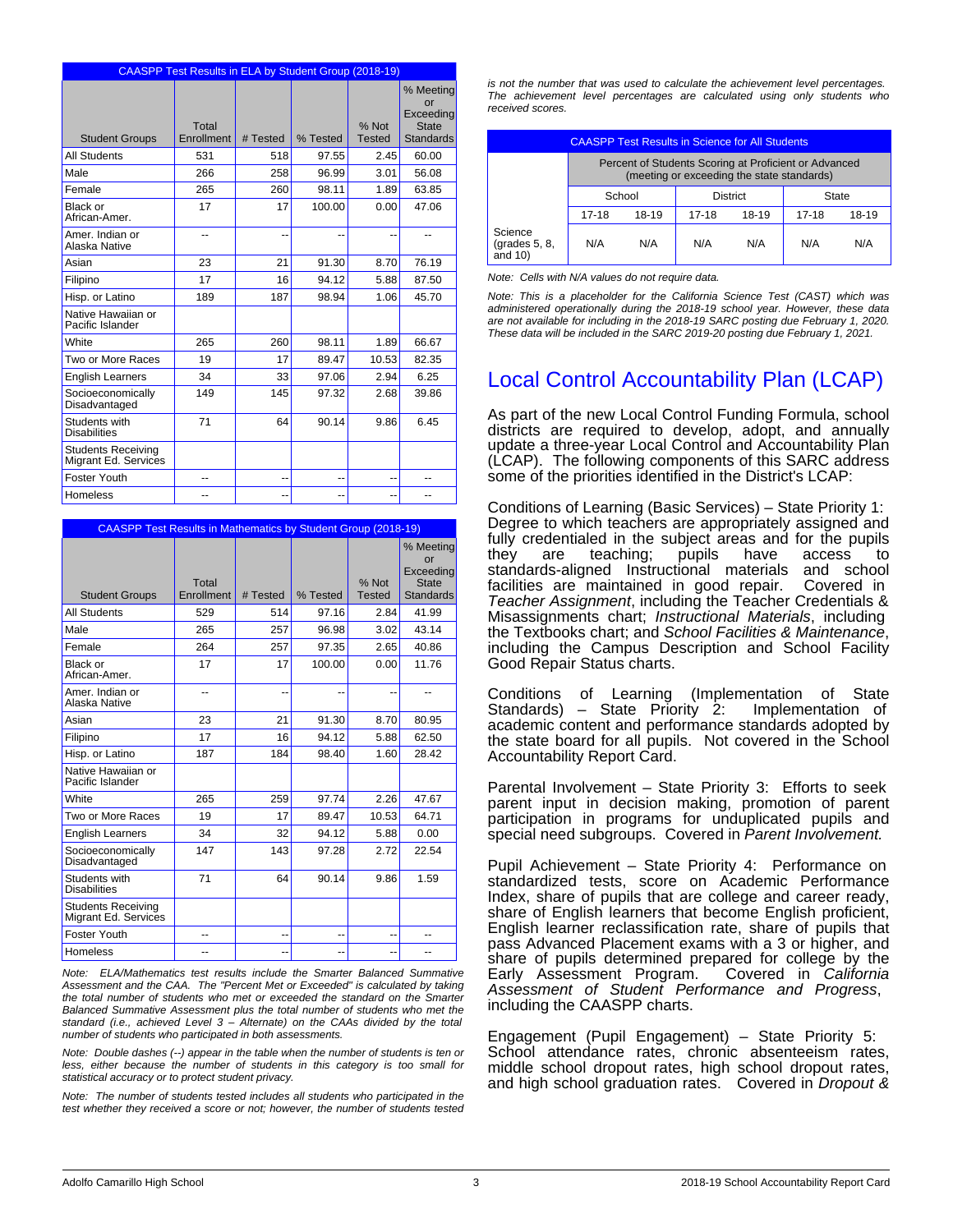|                                                   |                     | <b>CAASPP Test Results in ELA by Student Group (2018-19)</b> |          |                        |                                                                  |  |  |  |  |
|---------------------------------------------------|---------------------|--------------------------------------------------------------|----------|------------------------|------------------------------------------------------------------|--|--|--|--|
| <b>Student Groups</b>                             | Total<br>Enrollment | # Tested                                                     | % Tested | % Not<br><b>Tested</b> | % Meeting<br>or<br>Exceeding<br><b>State</b><br><b>Standards</b> |  |  |  |  |
| <b>All Students</b>                               | 531                 | 518                                                          | 97.55    | 2.45                   | 60.00                                                            |  |  |  |  |
| Male                                              | 266                 | 258                                                          | 96.99    | 3.01                   | 56.08                                                            |  |  |  |  |
| Female                                            | 265                 | 260                                                          | 98.11    | 1.89                   | 63.85                                                            |  |  |  |  |
| Black or<br>African-Amer.                         | 17                  | 17                                                           | 100.00   | 0.00                   | 47.06                                                            |  |  |  |  |
| Amer, Indian or<br>Alaska Native                  |                     | --                                                           |          |                        |                                                                  |  |  |  |  |
| Asian                                             | 23                  | 21                                                           | 91.30    | 8.70                   | 76.19                                                            |  |  |  |  |
| Filipino                                          | 17                  | 16                                                           | 94.12    | 5.88                   | 87.50                                                            |  |  |  |  |
| Hisp. or Latino                                   | 189                 | 187                                                          | 98.94    | 1.06                   | 45.70                                                            |  |  |  |  |
| Native Hawaiian or<br>Pacific Islander            |                     |                                                              |          |                        |                                                                  |  |  |  |  |
| White                                             | 265                 | 260                                                          | 98.11    | 1.89                   | 66.67                                                            |  |  |  |  |
| Two or More Races                                 | 19                  | 17                                                           | 89.47    | 10.53                  | 82.35                                                            |  |  |  |  |
| <b>English Learners</b>                           | 34                  | 33                                                           | 97.06    | 2.94                   | 6.25                                                             |  |  |  |  |
| Socioeconomically<br>Disadvantaged                | 149                 | 145                                                          | 97.32    | 2.68                   | 39.86                                                            |  |  |  |  |
| Students with<br><b>Disabilities</b>              | 71                  | 64                                                           | 90.14    | 9.86                   | 6.45                                                             |  |  |  |  |
| <b>Students Receiving</b><br>Migrant Ed. Services |                     |                                                              |          |                        |                                                                  |  |  |  |  |
| Foster Youth                                      | --                  | --                                                           | --       | --                     | --                                                               |  |  |  |  |
| Homeless                                          | --                  | --                                                           | --       | --                     | --                                                               |  |  |  |  |

|                                                   | <b>CAASPP Test Results in Mathematics by Student Group (2018-19)</b> |          |          |                        |                                                                  |  |
|---------------------------------------------------|----------------------------------------------------------------------|----------|----------|------------------------|------------------------------------------------------------------|--|
| <b>Student Groups</b>                             | Total<br>Enrollment                                                  | # Tested | % Tested | % Not<br><b>Tested</b> | % Meeting<br>or<br>Exceeding<br><b>State</b><br><b>Standards</b> |  |
| <b>All Students</b>                               | 529                                                                  | 514      | 97.16    | 2.84                   | 41.99                                                            |  |
| Male                                              | 265                                                                  | 257      | 96.98    | 3.02                   | 43.14                                                            |  |
| Female                                            | 264                                                                  | 257      | 97.35    | 2.65                   | 40.86                                                            |  |
| Black or<br>African-Amer.                         | 17                                                                   | 17       | 100.00   | 0.00                   | 11.76                                                            |  |
| Amer, Indian or<br>Alaska Native                  | --                                                                   | --       |          |                        |                                                                  |  |
| Asian                                             | 23                                                                   | 21       | 91.30    | 8.70                   | 80.95                                                            |  |
| Filipino                                          | 17                                                                   | 16       | 94.12    | 5.88                   | 62.50                                                            |  |
| Hisp. or Latino                                   | 187                                                                  | 184      | 98.40    | 1.60                   | 28.42                                                            |  |
| Native Hawaiian or<br>Pacific Islander            |                                                                      |          |          |                        |                                                                  |  |
| White                                             | 265                                                                  | 259      | 97.74    | 2.26                   | 47.67                                                            |  |
| Two or More Races                                 | 19                                                                   | 17       | 89.47    | 10.53                  | 64.71                                                            |  |
| <b>English Learners</b>                           | 34                                                                   | 32       | 94.12    | 5.88                   | 0.00                                                             |  |
| Socioeconomically<br>Disadvantaged                | 147                                                                  | 143      | 97.28    | 2.72                   | 22.54                                                            |  |
| Students with<br><b>Disabilities</b>              | 71                                                                   | 64       | 90.14    | 9.86                   | 1.59                                                             |  |
| <b>Students Receiving</b><br>Migrant Ed. Services |                                                                      |          |          |                        |                                                                  |  |
| Foster Youth                                      | --                                                                   | --       |          | --                     | --                                                               |  |
| Homeless                                          | --                                                                   | --       | --       | --                     | --                                                               |  |

*Note: ELA/Mathematics test results include the Smarter Balanced Summative Assessment and the CAA. The "Percent Met or Exceeded" is calculated by taking the total number of students who met or exceeded the standard on the Smarter Balanced Summative Assessment plus the total number of students who met the standard (i.e., achieved Level 3 – Alternate) on the CAAs divided by the total number of students who participated in both assessments.*

*Note: Double dashes (--) appear in the table when the number of students is ten or less, either because the number of students in this category is too small for statistical accuracy or to protect student privacy.*

*Note: The number of students tested includes all students who participated in the test whether they received a score or not; however, the number of students tested* *is not the number that was used to calculate the achievement level percentages. The achievement level percentages are calculated using only students who received scores.*

| <b>CAASPP Test Results in Science for All Students</b> |                                                                                                     |       |       |       |       |       |
|--------------------------------------------------------|-----------------------------------------------------------------------------------------------------|-------|-------|-------|-------|-------|
|                                                        | Percent of Students Scoring at Proficient or Advanced<br>(meeting or exceeding the state standards) |       |       |       |       |       |
|                                                        | School<br><b>District</b><br>State                                                                  |       |       |       |       |       |
|                                                        | $17 - 18$                                                                                           | 18-19 | 17-18 | 18-19 | 17-18 | 18-19 |
| Science<br>(grades $5, 8$ ,<br>and 10)                 | N/A                                                                                                 | N/A   | N/A   | N/A   | N/A   | N/A   |

*Note: Cells with N/A values do not require data.*

*Note: This is a placeholder for the California Science Test (CAST) which was administered operationally during the 2018-19 school year. However, these data are not available for including in the 2018-19 SARC posting due February 1, 2020. These data will be included in the SARC 2019-20 posting due February 1, 2021.*

## Local Control Accountability Plan (LCAP)

As part of the new Local Control Funding Formula, school districts are required to develop, adopt, and annually update a three-year Local Control and Accountability Plan (LCAP). The following components of this SARC address some of the priorities identified in the District's LCAP:

Conditions of Learning (Basic Services) – State Priority 1: Degree to which teachers are appropriately assigned and fully credentialed in the subject areas and for the pupils<br>they are teaching; pupils have access to they are teaching; pupils have access to standards-aligned Instructional materials and school facilities are maintained in good repair. *Teacher Assignment*, including the Teacher Credentials & Misassignments chart; *Instructional Materials*, including the Textbooks chart; and *School Facilities & Maintenance*, including the Campus Description and School Facility Good Repair Status charts.

Conditions of Learning (Implementation of State Standards) – State Priority  $2$ : academic content and performance standards adopted by the state board for all pupils. Not covered in the School Accountability Report Card.

Parental Involvement – State Priority 3: Efforts to seek parent input in decision making, promotion of parent participation in programs for unduplicated pupils and special need subgroups. Covered in *Parent Involvement.*

Pupil Achievement – State Priority 4: Performance on standardized tests, score on Academic Performance Index, share of pupils that are college and career ready, share of English learners that become English proficient, English learner reclassification rate, share of pupils that pass Advanced Placement exams with a 3 or higher, and share of pupils determined prepared for college by the Early Assessment Program. Covered in California Early Assessment Program. *Assessment of Student Performance and Progress*, including the CAASPP charts.

Engagement (Pupil Engagement) – State Priority 5: School attendance rates, chronic absenteeism rates, middle school dropout rates, high school dropout rates, and high school graduation rates. Covered in *Dropout &*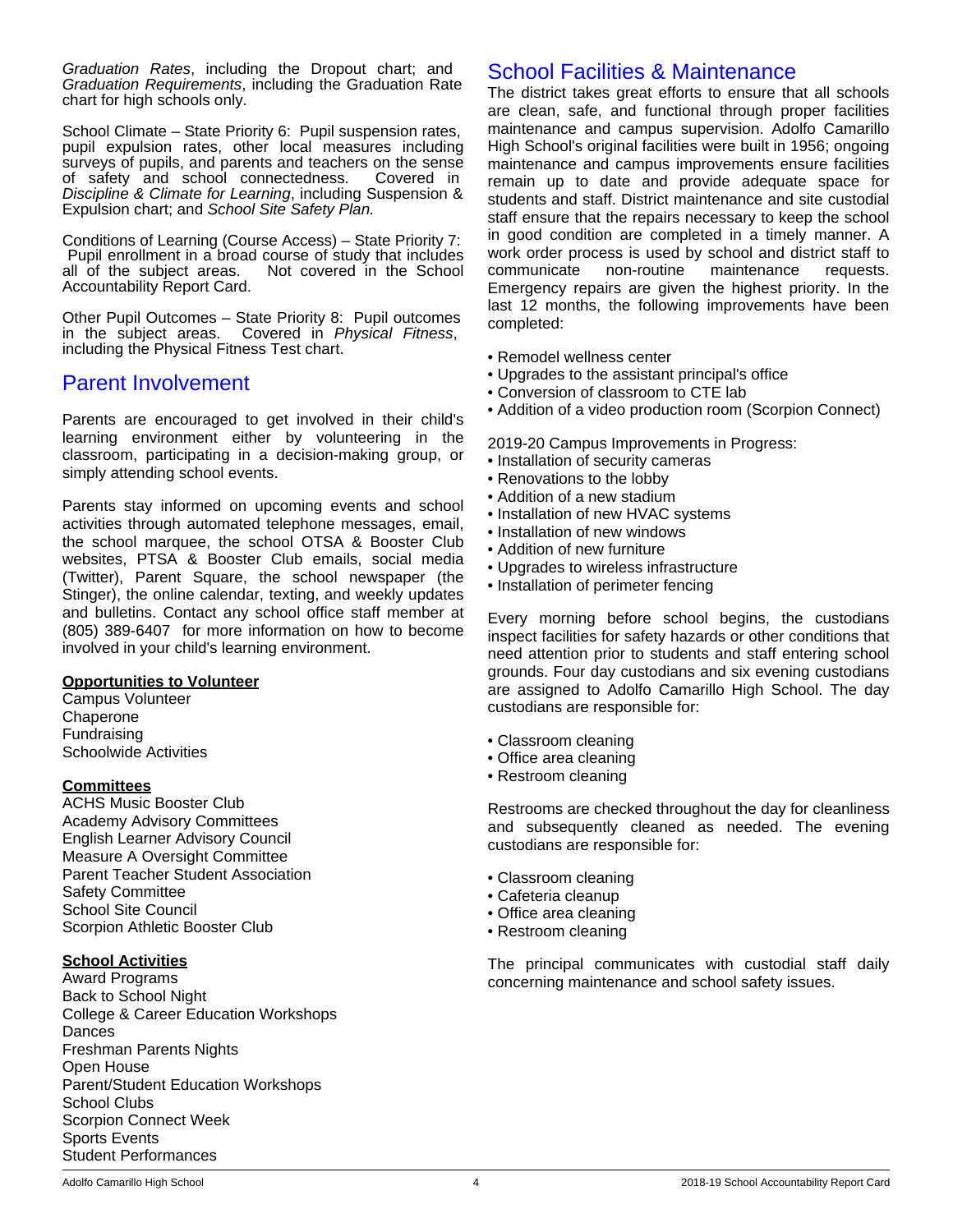*Graduation Rates*, including the Dropout chart; and *Graduation Requirements*, including the Graduation Rate chart for high schools only.

School Climate – State Priority 6: Pupil suspension rates, pupil expulsion rates, other local measures including surveys of pupils, and parents and teachers on the sense of safety and school connectedness. Covered in *Discipline & Climate for Learning*, including Suspension & Expulsion chart; and *School Site Safety Plan.*

Conditions of Learning (Course Access) – State Priority 7: Pupil enrollment in a broad course of study that includes<br>all of the subject areas. Not covered in the School Not covered in the School Accountability Report Card.

Other Pupil Outcomes – State Priority 8: Pupil outcomes in the subject areas. Covered in *Physical Fitness*, including the Physical Fitness Test chart.

## Parent Involvement

Parents are encouraged to get involved in their child's learning environment either by volunteering in the classroom, participating in a decision-making group, or simply attending school events.

Parents stay informed on upcoming events and school activities through automated telephone messages, email, the school marquee, the school OTSA & Booster Club websites, PTSA & Booster Club emails, social media (Twitter), Parent Square, the school newspaper (the Stinger), the online calendar, texting, and weekly updates and bulletins. Contact any school office staff member at (805) 389-6407 for more information on how to become involved in your child's learning environment.

#### **Opportunities to Volunteer**

Campus Volunteer **Chaperone** Fundraising Schoolwide Activities

#### **Committees**

ACHS Music Booster Club Academy Advisory Committees English Learner Advisory Council Measure A Oversight Committee Parent Teacher Student Association Safety Committee School Site Council Scorpion Athletic Booster Club

## **School Activities**

Award Programs Back to School Night College & Career Education Workshops **Dances** Freshman Parents Nights Open House Parent/Student Education Workshops School Clubs Scorpion Connect Week Sports Events Student Performances

## School Facilities & Maintenance

The district takes great efforts to ensure that all schools are clean, safe, and functional through proper facilities maintenance and campus supervision. Adolfo Camarillo High School's original facilities were built in 1956; ongoing maintenance and campus improvements ensure facilities remain up to date and provide adequate space for students and staff. District maintenance and site custodial staff ensure that the repairs necessary to keep the school in good condition are completed in a timely manner. A work order process is used by school and district staff to communicate non-routine maintenance requests. Emergency repairs are given the highest priority. In the last 12 months, the following improvements have been completed:

- Remodel wellness center
- Upgrades to the assistant principal's office
- Conversion of classroom to CTE lab
- Addition of a video production room (Scorpion Connect)

2019-20 Campus Improvements in Progress:

- Installation of security cameras
- Renovations to the lobby
- Addition of a new stadium
- Installation of new HVAC systems
- Installation of new windows
- Addition of new furniture
- Upgrades to wireless infrastructure
- Installation of perimeter fencing

Every morning before school begins, the custodians inspect facilities for safety hazards or other conditions that need attention prior to students and staff entering school grounds. Four day custodians and six evening custodians are assigned to Adolfo Camarillo High School. The day custodians are responsible for:

- Classroom cleaning
- Office area cleaning
- Restroom cleaning

Restrooms are checked throughout the day for cleanliness and subsequently cleaned as needed. The evening custodians are responsible for:

- Classroom cleaning
- Cafeteria cleanup
- Office area cleaning
- Restroom cleaning

The principal communicates with custodial staff daily concerning maintenance and school safety issues.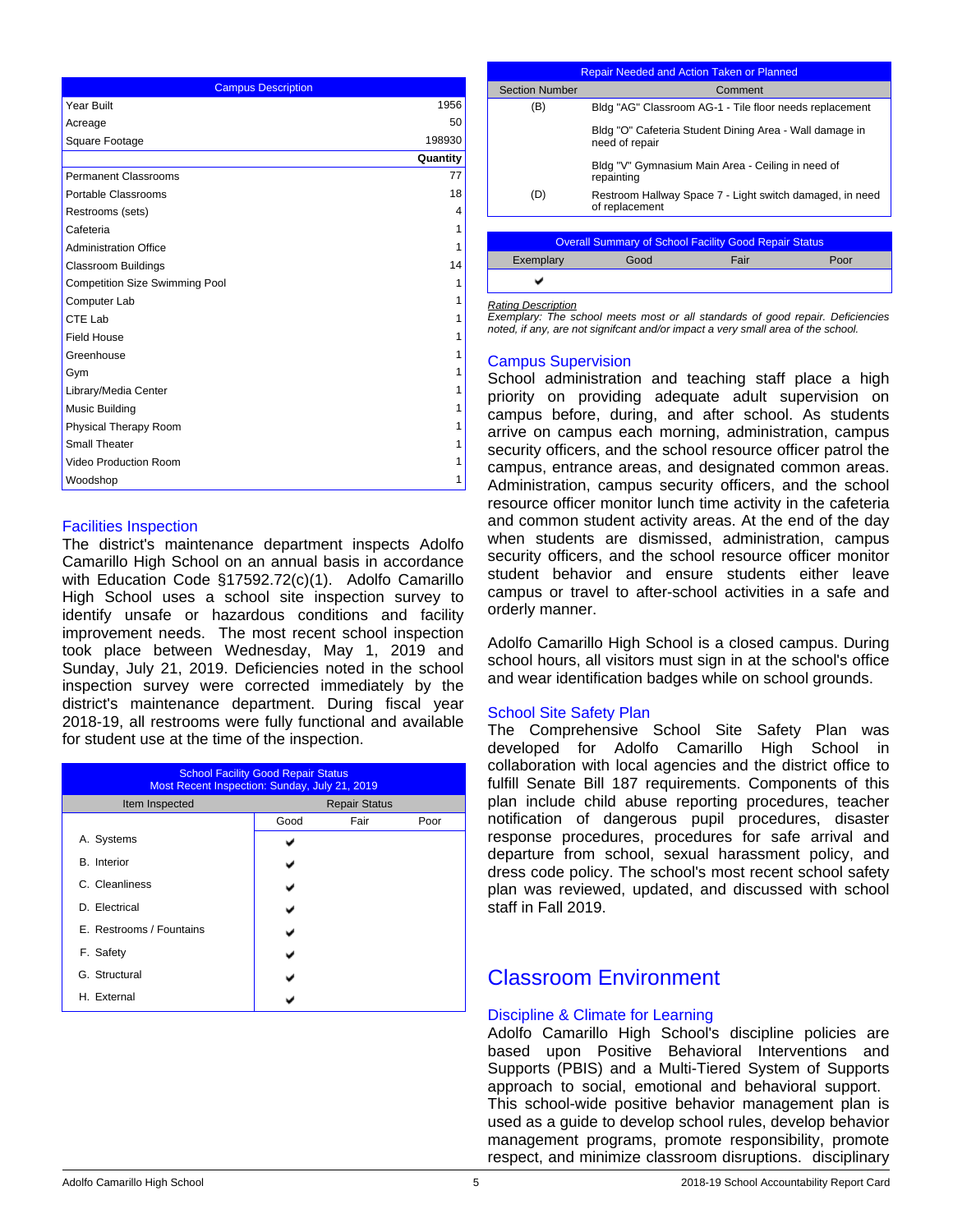| <b>Campus Description</b>             |          |  |  |
|---------------------------------------|----------|--|--|
| Year Built                            | 1956     |  |  |
| Acreage                               | 50       |  |  |
| Square Footage                        | 198930   |  |  |
|                                       | Quantity |  |  |
| <b>Permanent Classrooms</b>           | 77       |  |  |
| Portable Classrooms                   | 18       |  |  |
| Restrooms (sets)                      | 4        |  |  |
| Cafeteria                             | 1        |  |  |
| <b>Administration Office</b>          | 1        |  |  |
| <b>Classroom Buildings</b>            | 14       |  |  |
| <b>Competition Size Swimming Pool</b> | 1        |  |  |
| Computer Lab                          | 1        |  |  |
| CTE Lab                               | 1        |  |  |
| <b>Field House</b>                    | 1        |  |  |
| Greenhouse                            | 1        |  |  |
| Gym                                   | 1        |  |  |
| Library/Media Center                  | 1        |  |  |
| Music Building                        | 1        |  |  |
| Physical Therapy Room                 | 1        |  |  |
| <b>Small Theater</b>                  | 1        |  |  |
| Video Production Room                 | 1        |  |  |
| Woodshop                              | 1        |  |  |

### Facilities Inspection

The district's maintenance department inspects Adolfo Camarillo High School on an annual basis in accordance with Education Code §17592.72(c)(1). Adolfo Camarillo High School uses a school site inspection survey to identify unsafe or hazardous conditions and facility improvement needs. The most recent school inspection took place between Wednesday, May 1, 2019 and Sunday, July 21, 2019. Deficiencies noted in the school inspection survey were corrected immediately by the district's maintenance department. During fiscal year 2018-19, all restrooms were fully functional and available for student use at the time of the inspection.

| <b>School Facility Good Repair Status</b><br>Most Recent Inspection: Sunday, July 21, 2019 |                      |      |      |  |
|--------------------------------------------------------------------------------------------|----------------------|------|------|--|
| Item Inspected                                                                             | <b>Repair Status</b> |      |      |  |
|                                                                                            | Good                 | Fair | Poor |  |
| A. Systems                                                                                 |                      |      |      |  |
| <b>B.</b> Interior                                                                         |                      |      |      |  |
| C. Cleanliness                                                                             |                      |      |      |  |
| D. Electrical                                                                              |                      |      |      |  |
| E. Restrooms / Fountains                                                                   |                      |      |      |  |
| F. Safety                                                                                  |                      |      |      |  |
| G. Structural                                                                              |                      |      |      |  |
| H. External                                                                                |                      |      |      |  |

| <b>Repair Needed and Action Taken or Planned</b>             |                                                                            |      |      |  |
|--------------------------------------------------------------|----------------------------------------------------------------------------|------|------|--|
| <b>Section Number</b>                                        | Comment                                                                    |      |      |  |
| (B)                                                          | Bldg "AG" Classroom AG-1 - Tile floor needs replacement                    |      |      |  |
|                                                              | Bldg "O" Cafeteria Student Dining Area - Wall damage in<br>need of repair  |      |      |  |
|                                                              | Bldg "V" Gymnasium Main Area - Ceiling in need of<br>repainting            |      |      |  |
| (D)                                                          | Restroom Hallway Space 7 - Light switch damaged, in need<br>of replacement |      |      |  |
|                                                              |                                                                            |      |      |  |
| <b>Overall Summary of School Facility Good Repair Status</b> |                                                                            |      |      |  |
| Exemplary                                                    | Good                                                                       | Fair | Poor |  |
|                                                              |                                                                            |      |      |  |

*Rating Description*

*Exemplary: The school meets most or all standards of good repair. Deficiencies noted, if any, are not signifcant and/or impact a very small area of the school.*

#### Campus Supervision

School administration and teaching staff place a high priority on providing adequate adult supervision on campus before, during, and after school. As students arrive on campus each morning, administration, campus security officers, and the school resource officer patrol the campus, entrance areas, and designated common areas. Administration, campus security officers, and the school resource officer monitor lunch time activity in the cafeteria and common student activity areas. At the end of the day when students are dismissed, administration, campus security officers, and the school resource officer monitor student behavior and ensure students either leave campus or travel to after-school activities in a safe and orderly manner.

Adolfo Camarillo High School is a closed campus. During school hours, all visitors must sign in at the school's office and wear identification badges while on school grounds.

#### School Site Safety Plan

The Comprehensive School Site Safety Plan was developed for Adolfo Camarillo High School in collaboration with local agencies and the district office to fulfill Senate Bill 187 requirements. Components of this plan include child abuse reporting procedures, teacher notification of dangerous pupil procedures, disaster response procedures, procedures for safe arrival and departure from school, sexual harassment policy, and dress code policy. The school's most recent school safety plan was reviewed, updated, and discussed with school staff in Fall 2019.

## Classroom Environment

#### Discipline & Climate for Learning

Adolfo Camarillo High School's discipline policies are based upon Positive Behavioral Interventions and Supports (PBIS) and a Multi-Tiered System of Supports approach to social, emotional and behavioral support. This school-wide positive behavior management plan is used as a guide to develop school rules, develop behavior management programs, promote responsibility, promote respect, and minimize classroom disruptions. disciplinary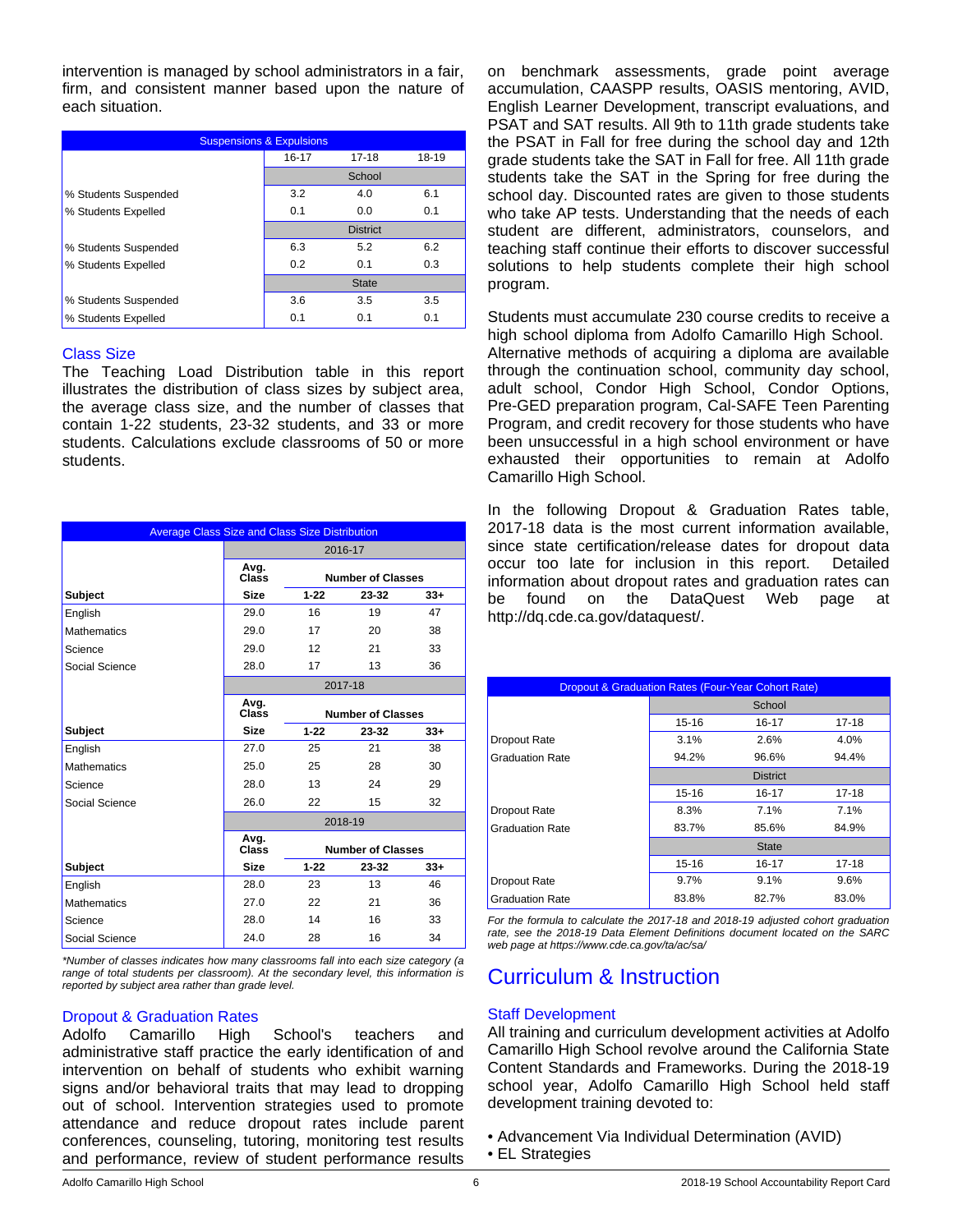intervention is managed by school administrators in a fair, firm, and consistent manner based upon the nature of each situation.

| <b>Suspensions &amp; Expulsions</b> |           |                 |       |  |  |
|-------------------------------------|-----------|-----------------|-------|--|--|
|                                     | $16 - 17$ | $17 - 18$       | 18-19 |  |  |
|                                     |           | School          |       |  |  |
| % Students Suspended                | 3.2       | 4.0             | 6.1   |  |  |
| % Students Expelled                 | 0.1       | 0.0             | 0.1   |  |  |
|                                     |           | <b>District</b> |       |  |  |
| % Students Suspended                | 6.3       | 5.2             | 6.2   |  |  |
| % Students Expelled                 | 0.2       | 0.1             | 0.3   |  |  |
|                                     |           | <b>State</b>    |       |  |  |
| % Students Suspended                | 3.6       | 3.5             | 3.5   |  |  |
| % Students Expelled                 | 0.1       | 0.1             | 0.1   |  |  |

#### Class Size

The Teaching Load Distribution table in this report illustrates the distribution of class sizes by subject area, the average class size, and the number of classes that contain 1-22 students, 23-32 students, and 33 or more students. Calculations exclude classrooms of 50 or more students.

| <b>Average Class Size and Class Size Distribution</b> |                                           |          |                          |       |
|-------------------------------------------------------|-------------------------------------------|----------|--------------------------|-------|
|                                                       |                                           |          | 2016-17                  |       |
|                                                       | Avg.<br><b>Number of Classes</b><br>Class |          |                          |       |
| Subject                                               | <b>Size</b>                               | $1 - 22$ | 23-32                    | $33+$ |
| English                                               | 29.0                                      | 16       | 19                       | 47    |
| <b>Mathematics</b>                                    | 29.0                                      | 17       | 20                       | 38    |
| Science                                               | 29.0                                      | 12       | 21                       | 33    |
| Social Science                                        | 28.0                                      | 17       | 13                       | 36    |
|                                                       | 2017-18                                   |          |                          |       |
|                                                       | Avg.<br>Class<br><b>Number of Classes</b> |          |                          |       |
| <b>Subject</b>                                        | <b>Size</b>                               | $1 - 22$ | 23-32                    | $33+$ |
| English                                               | 27.0                                      | 25       | 21                       | 38    |
| <b>Mathematics</b>                                    | 25.0                                      | 25       | 28                       | 30    |
| Science                                               | 28.0                                      | 13       | 24                       | 29    |
| Social Science                                        | 26.0                                      | 22       | 15                       | 32    |
|                                                       |                                           |          | 2018-19                  |       |
|                                                       | Avg.<br>Class                             |          | <b>Number of Classes</b> |       |
| <b>Subject</b>                                        | <b>Size</b>                               | $1 - 22$ | 23-32                    | $33+$ |
| English                                               | 28.0                                      | 23       | 13                       | 46    |
| <b>Mathematics</b>                                    | 27.0                                      | 22       | 21                       | 36    |
| Science                                               | 28.0                                      | 14       | 16                       | 33    |
| Social Science                                        | 24.0                                      | 28       | 16                       | 34    |

*\*Number of classes indicates how many classrooms fall into each size category (a range of total students per classroom). At the secondary level, this information is reported by subject area rather than grade level.*

## Dropout & Graduation Rates

Adolfo Camarillo High School's teachers and administrative staff practice the early identification of and intervention on behalf of students who exhibit warning signs and/or behavioral traits that may lead to dropping out of school. Intervention strategies used to promote attendance and reduce dropout rates include parent conferences, counseling, tutoring, monitoring test results and performance, review of student performance results

on benchmark assessments, grade point average accumulation, CAASPP results, OASIS mentoring, AVID, English Learner Development, transcript evaluations, and PSAT and SAT results. All 9th to 11th grade students take the PSAT in Fall for free during the school day and 12th grade students take the SAT in Fall for free. All 11th grade students take the SAT in the Spring for free during the school day. Discounted rates are given to those students who take AP tests. Understanding that the needs of each student are different, administrators, counselors, and teaching staff continue their efforts to discover successful solutions to help students complete their high school program.

Students must accumulate 230 course credits to receive a high school diploma from Adolfo Camarillo High School. Alternative methods of acquiring a diploma are available through the continuation school, community day school, adult school, Condor High School, Condor Options, Pre-GED preparation program, Cal-SAFE Teen Parenting Program, and credit recovery for those students who have been unsuccessful in a high school environment or have exhausted their opportunities to remain at Adolfo Camarillo High School.

In the following Dropout & Graduation Rates table, 2017-18 data is the most current information available, since state certification/release dates for dropout data occur too late for inclusion in this report. Detailed information about dropout rates and graduation rates can be found on the DataQuest Web page at http://dq.cde.ca.gov/dataquest/.

| <b>Dropout &amp; Graduation Rates (Four-Year Cohort Rate)</b> |                 |        |       |  |  |  |
|---------------------------------------------------------------|-----------------|--------|-------|--|--|--|
|                                                               |                 | School |       |  |  |  |
|                                                               | 15-16           | 16-17  | 17-18 |  |  |  |
| Dropout Rate                                                  | 3.1%            | 2.6%   | 4.0%  |  |  |  |
| <b>Graduation Rate</b>                                        | 94.2%           | 96.6%  | 94.4% |  |  |  |
|                                                               | <b>District</b> |        |       |  |  |  |
|                                                               | 15-16           | 16-17  | 17-18 |  |  |  |
| Dropout Rate                                                  | 8.3%            | 7.1%   | 7.1%  |  |  |  |
| <b>Graduation Rate</b>                                        | 83.7%           | 85.6%  | 84.9% |  |  |  |
|                                                               | <b>State</b>    |        |       |  |  |  |
|                                                               | 15-16           | 16-17  | 17-18 |  |  |  |
| Dropout Rate                                                  | 9.7%            | 9.1%   | 9.6%  |  |  |  |
| <b>Graduation Rate</b>                                        | 83.8%           | 82.7%  | 83.0% |  |  |  |

*For the formula to calculate the 2017-18 and 2018-19 adjusted cohort graduation rate, see the 2018-19 Data Element Definitions document located on the SARC web page at https://www.cde.ca.gov/ta/ac/sa/*

## Curriculum & Instruction

## Staff Development

All training and curriculum development activities at Adolfo Camarillo High School revolve around the California State Content Standards and Frameworks. During the 2018-19 school year, Adolfo Camarillo High School held staff development training devoted to:

• Advancement Via Individual Determination (AVID) • EL Strategies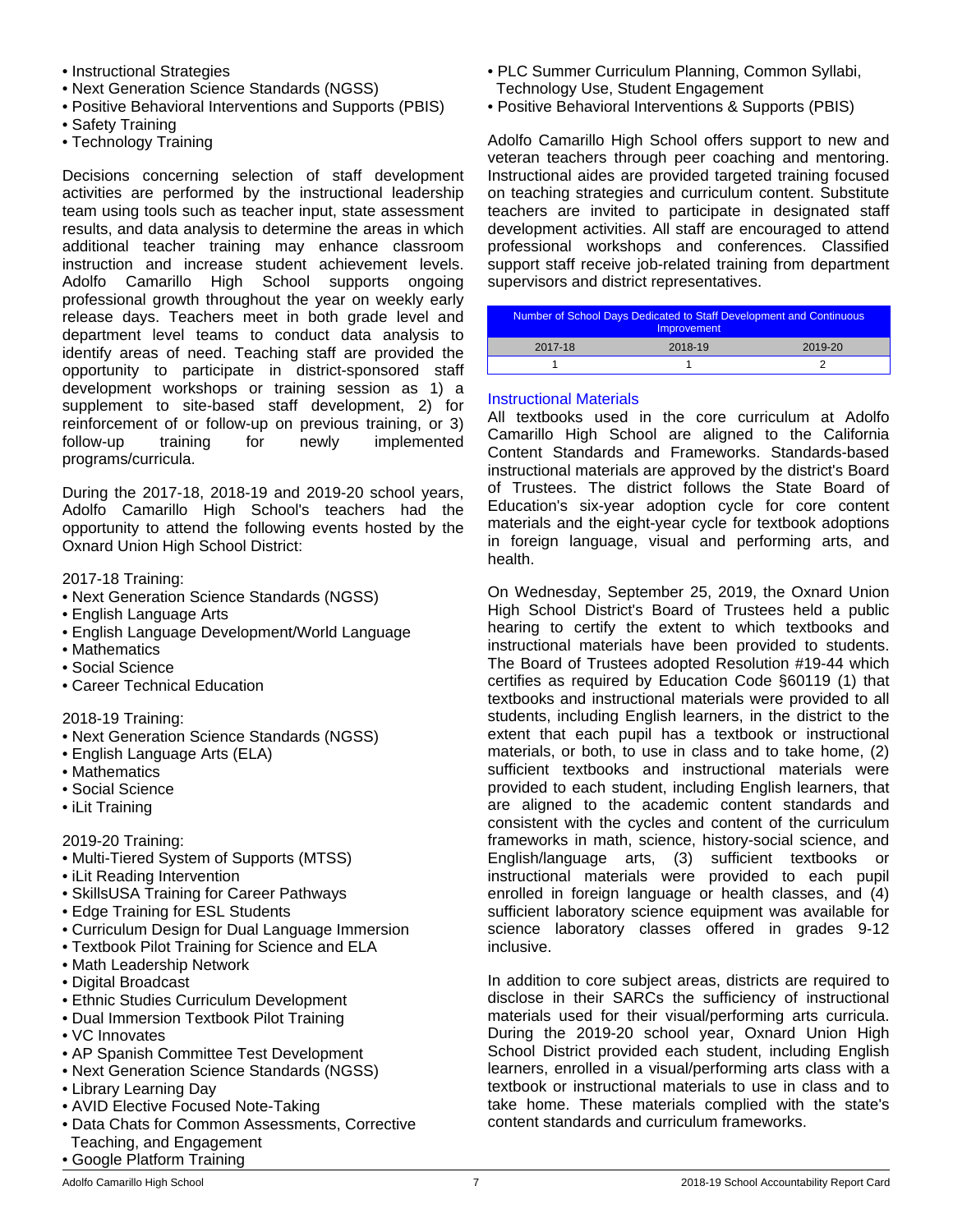- Instructional Strategies
- Next Generation Science Standards (NGSS)
- Positive Behavioral Interventions and Supports (PBIS)
- Safety Training
- Technology Training

Decisions concerning selection of staff development activities are performed by the instructional leadership team using tools such as teacher input, state assessment results, and data analysis to determine the areas in which additional teacher training may enhance classroom instruction and increase student achievement levels. Adolfo Camarillo High School supports ongoing professional growth throughout the year on weekly early release days. Teachers meet in both grade level and department level teams to conduct data analysis to identify areas of need. Teaching staff are provided the opportunity to participate in district-sponsored staff development workshops or training session as 1) a supplement to site-based staff development, 2) for reinforcement of or follow-up on previous training, or 3) follow-up training for newly implemented programs/curricula.

During the 2017-18, 2018-19 and 2019-20 school years, Adolfo Camarillo High School's teachers had the opportunity to attend the following events hosted by the Oxnard Union High School District:

2017-18 Training:

- Next Generation Science Standards (NGSS)
- English Language Arts
- English Language Development/World Language
- Mathematics
- Social Science
- Career Technical Education

2018-19 Training:

- Next Generation Science Standards (NGSS)
- English Language Arts (ELA)
- Mathematics
- Social Science
- iLit Training

2019-20 Training:

- Multi-Tiered System of Supports (MTSS)
- iLit Reading Intervention
- SkillsUSA Training for Career Pathways
- Edge Training for ESL Students
- Curriculum Design for Dual Language Immersion
- Textbook Pilot Training for Science and ELA
- Math Leadership Network
- Digital Broadcast
- Ethnic Studies Curriculum Development
- Dual Immersion Textbook Pilot Training
- VC Innovates
- AP Spanish Committee Test Development
- Next Generation Science Standards (NGSS)
- Library Learning Day
- AVID Elective Focused Note-Taking
- Data Chats for Common Assessments, Corrective Teaching, and Engagement
- Google Platform Training
- PLC Summer Curriculum Planning, Common Syllabi, Technology Use, Student Engagement
- Positive Behavioral Interventions & Supports (PBIS)

Adolfo Camarillo High School offers support to new and veteran teachers through peer coaching and mentoring. Instructional aides are provided targeted training focused on teaching strategies and curriculum content. Substitute teachers are invited to participate in designated staff development activities. All staff are encouraged to attend professional workshops and conferences. Classified support staff receive job-related training from department supervisors and district representatives.

| Number of School Days Dedicated to Staff Development and Continuous<br><b>Improvement</b> |         |         |  |
|-------------------------------------------------------------------------------------------|---------|---------|--|
| 2017-18                                                                                   | 2018-19 | 2019-20 |  |
|                                                                                           |         |         |  |

### Instructional Materials

All textbooks used in the core curriculum at Adolfo Camarillo High School are aligned to the California Content Standards and Frameworks. Standards-based instructional materials are approved by the district's Board of Trustees. The district follows the State Board of Education's six-year adoption cycle for core content materials and the eight-year cycle for textbook adoptions in foreign language, visual and performing arts, and health.

On Wednesday, September 25, 2019, the Oxnard Union High School District's Board of Trustees held a public hearing to certify the extent to which textbooks and instructional materials have been provided to students. The Board of Trustees adopted Resolution #19-44 which certifies as required by Education Code §60119 (1) that textbooks and instructional materials were provided to all students, including English learners, in the district to the extent that each pupil has a textbook or instructional materials, or both, to use in class and to take home, (2) sufficient textbooks and instructional materials were provided to each student, including English learners, that are aligned to the academic content standards and consistent with the cycles and content of the curriculum frameworks in math, science, history-social science, and English/language arts, (3) sufficient textbooks or instructional materials were provided to each pupil enrolled in foreign language or health classes, and (4) sufficient laboratory science equipment was available for science laboratory classes offered in grades 9-12 inclusive.

In addition to core subject areas, districts are required to disclose in their SARCs the sufficiency of instructional materials used for their visual/performing arts curricula. During the 2019-20 school year, Oxnard Union High School District provided each student, including English learners, enrolled in a visual/performing arts class with a textbook or instructional materials to use in class and to take home. These materials complied with the state's content standards and curriculum frameworks.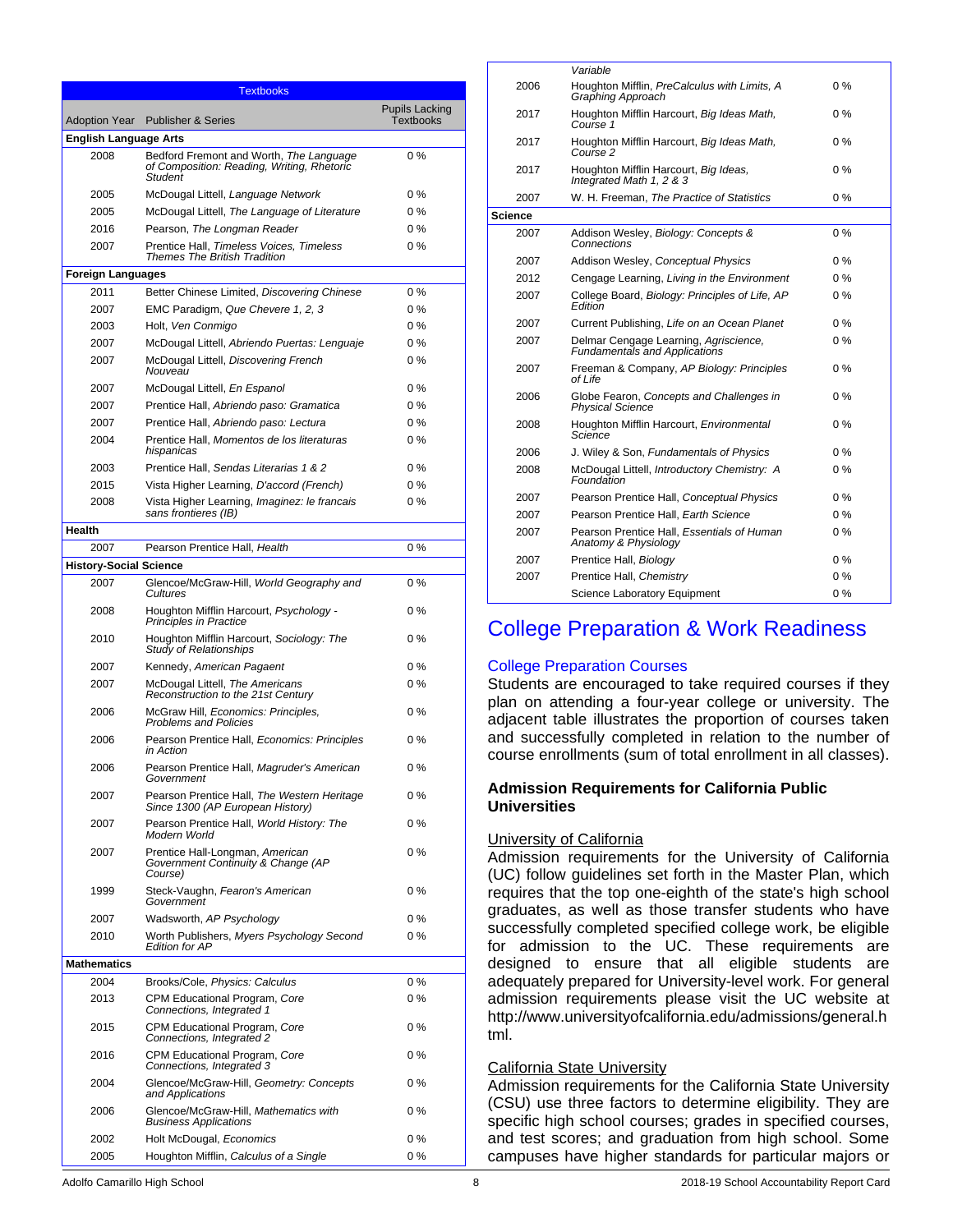| <b>Textbooks</b>              |                                                                                                  |                                           |  |  |
|-------------------------------|--------------------------------------------------------------------------------------------------|-------------------------------------------|--|--|
|                               | Adoption Year Publisher & Series                                                                 | <b>Pupils Lacking</b><br><b>Textbooks</b> |  |  |
| <b>English Language Arts</b>  |                                                                                                  |                                           |  |  |
| 2008                          | Bedford Fremont and Worth, The Language<br>of Composition: Reading, Writing, Rhetoric<br>Student | 0%                                        |  |  |
| 2005                          | McDougal Littell, Language Network                                                               | $0\%$                                     |  |  |
| 2005                          | McDougal Littell, The Language of Literature                                                     | $0\%$                                     |  |  |
| 2016                          | Pearson, The Longman Reader                                                                      | $0\%$                                     |  |  |
| 2007                          | Prentice Hall, Timeless Voices, Timeless<br><b>Themes The British Tradition</b>                  | $0\%$                                     |  |  |
| <b>Foreign Languages</b>      |                                                                                                  |                                           |  |  |
| 2011                          | Better Chinese Limited, Discovering Chinese                                                      | $0\%$                                     |  |  |
| 2007                          | EMC Paradigm, Que Chevere 1, 2, 3                                                                | $0\%$                                     |  |  |
| 2003                          | Holt, Ven Conmigo                                                                                | $0\%$                                     |  |  |
| 2007                          | McDougal Littell, Abriendo Puertas: Lenguaje                                                     | $0\%$                                     |  |  |
| 2007                          | McDougal Littell, Discovering French<br>Nouveau                                                  | $0\%$                                     |  |  |
| 2007                          | McDougal Littell, En Espanol                                                                     | $0\%$                                     |  |  |
| 2007                          | Prentice Hall, Abriendo paso: Gramatica                                                          | $0\%$                                     |  |  |
| 2007                          | Prentice Hall, Abriendo paso: Lectura                                                            | $0\%$                                     |  |  |
| 2004                          | Prentice Hall, Momentos de los literaturas<br>hispanicas                                         | $0\%$                                     |  |  |
| 2003                          | Prentice Hall, Sendas Literarias 1 & 2                                                           | $0\%$                                     |  |  |
| 2015                          | Vista Higher Learning, D'accord (French)                                                         | $0\%$                                     |  |  |
| 2008                          | Vista Higher Learning, Imaginez: le francais<br>sans frontieres (IB)                             | $0\%$                                     |  |  |
| Health                        |                                                                                                  |                                           |  |  |
| 2007                          | Pearson Prentice Hall, Health                                                                    | 0%                                        |  |  |
| <b>History-Social Science</b> |                                                                                                  |                                           |  |  |
| 2007                          | Glencoe/McGraw-Hill, World Geography and<br>Cultures                                             | $0\%$                                     |  |  |
| 2008                          | Houghton Mifflin Harcourt, Psychology -<br>Principles in Practice                                | 0%                                        |  |  |
| 2010                          | Houghton Mifflin Harcourt, Sociology: The<br><b>Study of Relationships</b>                       | 0%                                        |  |  |
| 2007                          | Kennedy, American Pagaent                                                                        | $0\%$                                     |  |  |
| 2007                          | McDougal Littell, The Americans<br>Reconstruction to the 21st Century                            | $0\%$                                     |  |  |
| 2006                          | McGraw Hill, Economics: Principles,<br><b>Problems and Policies</b>                              | $0\%$                                     |  |  |
| 2006                          | Pearson Prentice Hall, Economics: Principles<br>in Action                                        | $0\%$                                     |  |  |
| 2006                          | Pearson Prentice Hall, Magruder's American<br>Government                                         | 0%                                        |  |  |
| 2007                          | Pearson Prentice Hall, The Western Heritage<br>Since 1300 (AP European History)                  | $0\%$                                     |  |  |
| 2007                          | Pearson Prentice Hall, World History: The<br>Modern World                                        | $0\%$                                     |  |  |
| 2007                          | Prentice Hall-Longman, American<br>Government Continuity & Change (AP<br>Course)                 | $0\%$                                     |  |  |
| 1999                          | Steck-Vaughn, Fearon's American<br>Government                                                    | $0\%$                                     |  |  |
| 2007                          | Wadsworth, AP Psychology                                                                         | $0\%$                                     |  |  |
| 2010                          | Worth Publishers, Myers Psychology Second<br><b>Edition for AP</b>                               | $0\%$                                     |  |  |
| <b>Mathematics</b>            |                                                                                                  |                                           |  |  |
| 2004                          | Brooks/Cole, Physics: Calculus                                                                   | 0%                                        |  |  |
| 2013                          | CPM Educational Program, Core<br>Connections, Integrated 1                                       | 0%                                        |  |  |
| 2015                          | CPM Educational Program, Core<br>Connections, Integrated 2                                       | $0\%$                                     |  |  |
| 2016                          | CPM Educational Program, Core<br>Connections, Integrated 3                                       | $0\%$                                     |  |  |
| 2004                          | Glencoe/McGraw-Hill, Geometry: Concepts<br>and Applications                                      | $0\%$                                     |  |  |
| 2006                          | Glencoe/McGraw-Hill, Mathematics with<br><b>Business Applications</b>                            | $0\%$                                     |  |  |
| 2002                          | Holt McDougal, Economics                                                                         | $0\%$                                     |  |  |
| 2005                          | Houghton Mifflin, Calculus of a Single                                                           | 0%                                        |  |  |

|         | Variable                                                                      |       |
|---------|-------------------------------------------------------------------------------|-------|
| 2006    | Houghton Mifflin, PreCalculus with Limits, A<br>Graphing Approach             | $0\%$ |
| 2017    | Houghton Mifflin Harcourt, Big Ideas Math,<br>Course 1                        | $0\%$ |
| 2017    | Houghton Mifflin Harcourt, Big Ideas Math,<br>Course 2                        | $0\%$ |
| 2017    | Houghton Mifflin Harcourt, Big Ideas,<br>Integrated Math 1, 2 & 3             | $0\%$ |
| 2007    | W. H. Freeman. The Practice of Statistics                                     | $0\%$ |
| Science |                                                                               |       |
| 2007    | Addison Wesley, Biology: Concepts &<br>Connections                            | $0\%$ |
| 2007    | Addison Wesley, Conceptual Physics                                            | $0\%$ |
| 2012    | Cengage Learning, Living in the Environment                                   | $0\%$ |
| 2007    | College Board, Biology: Principles of Life, AP<br>Fdition                     | $0\%$ |
| 2007    | Current Publishing, Life on an Ocean Planet                                   | $0\%$ |
| 2007    | Delmar Cengage Learning, Agriscience,<br><b>Fundamentals and Applications</b> | $0\%$ |
| 2007    | Freeman & Company, AP Biology: Principles<br>of Life                          | $0\%$ |
| 2006    | Globe Fearon, Concepts and Challenges in<br><b>Physical Science</b>           | $0\%$ |
| 2008    | Houghton Mifflin Harcourt, Environmental<br>Science                           | $0\%$ |
| 2006    | J. Wiley & Son, Fundamentals of Physics                                       | $0\%$ |
| 2008    | McDougal Littell, Introductory Chemistry: A<br>Foundation                     | $0\%$ |
| 2007    | Pearson Prentice Hall, Conceptual Physics                                     | $0\%$ |
| 2007    | Pearson Prentice Hall. Earth Science                                          | $0\%$ |
| 2007    | Pearson Prentice Hall, Essentials of Human<br>Anatomy & Physiology            | $0\%$ |
| 2007    | Prentice Hall, Biology                                                        | $0\%$ |
| 2007    | Prentice Hall, Chemistry                                                      | $0\%$ |
|         | Science Laboratory Equipment                                                  | $0\%$ |
|         |                                                                               |       |

## College Preparation & Work Readiness

## College Preparation Courses

Students are encouraged to take required courses if they plan on attending a four-year college or university. The adjacent table illustrates the proportion of courses taken and successfully completed in relation to the number of course enrollments (sum of total enrollment in all classes).

### **Admission Requirements for California Public Universities**

#### University of California

Admission requirements for the University of California (UC) follow guidelines set forth in the Master Plan, which requires that the top one-eighth of the state's high school graduates, as well as those transfer students who have successfully completed specified college work, be eligible for admission to the UC. These requirements are designed to ensure that all eligible students are adequately prepared for University-level work. For general admission requirements please visit the UC website at http://www.universityofcalifornia.edu/admissions/general.h tml.

#### California State University

Admission requirements for the California State University (CSU) use three factors to determine eligibility. They are specific high school courses; grades in specified courses, and test scores; and graduation from high school. Some campuses have higher standards for particular majors or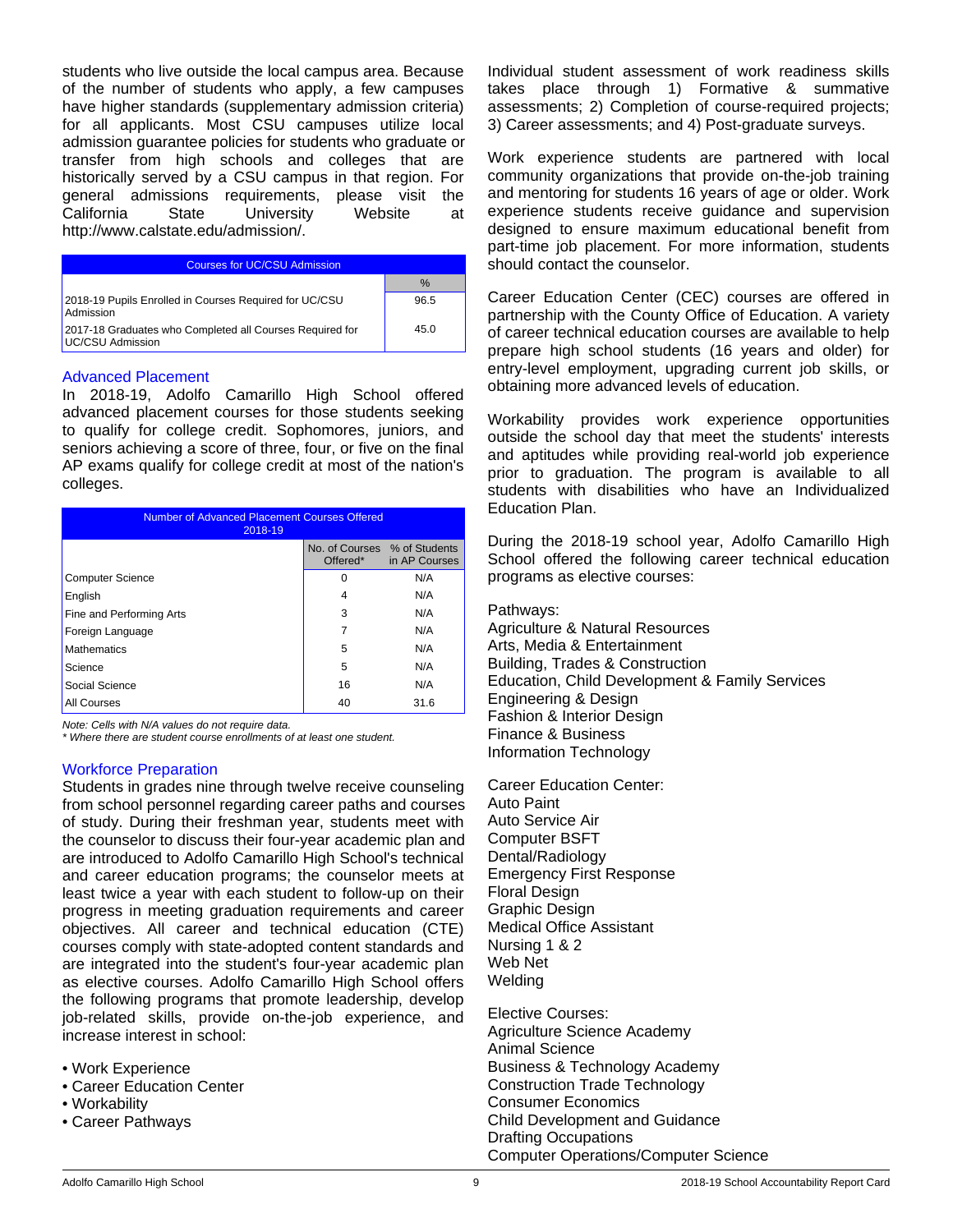students who live outside the local campus area. Because of the number of students who apply, a few campuses have higher standards (supplementary admission criteria) for all applicants. Most CSU campuses utilize local admission guarantee policies for students who graduate or transfer from high schools and colleges that are historically served by a CSU campus in that region. For general admissions requirements, please visit the<br>California State University Website at State University Website at http://www.calstate.edu/admission/.

| <b>Courses for UC/CSU Admission</b>                                          |      |  |  |
|------------------------------------------------------------------------------|------|--|--|
|                                                                              | $\%$ |  |  |
| 2018-19 Pupils Enrolled in Courses Required for UC/CSU<br>Admission          | 96.5 |  |  |
| 2017-18 Graduates who Completed all Courses Required for<br>UC/CSU Admission | 45.0 |  |  |

#### Advanced Placement

In 2018-19, Adolfo Camarillo High School offered advanced placement courses for those students seeking to qualify for college credit. Sophomores, juniors, and seniors achieving a score of three, four, or five on the final AP exams qualify for college credit at most of the nation's colleges.

| Number of Advanced Placement Courses Offered<br>2018-19 |                                          |               |  |  |
|---------------------------------------------------------|------------------------------------------|---------------|--|--|
|                                                         | No. of Courses % of Students<br>Offered* | in AP Courses |  |  |
| <b>Computer Science</b>                                 | O                                        | N/A           |  |  |
| English                                                 | 4                                        | N/A           |  |  |
| Fine and Performing Arts                                | 3                                        | N/A           |  |  |
| Foreign Language                                        | 7                                        | N/A           |  |  |
| <b>Mathematics</b>                                      | 5                                        | N/A           |  |  |
| Science                                                 | 5                                        | N/A           |  |  |
| Social Science                                          | 16                                       | N/A           |  |  |
| All Courses                                             | 40                                       | 31.6          |  |  |

*Note: Cells with N/A values do not require data.*

*\* Where there are student course enrollments of at least one student.*

## Workforce Preparation

Students in grades nine through twelve receive counseling from school personnel regarding career paths and courses of study. During their freshman year, students meet with the counselor to discuss their four-year academic plan and are introduced to Adolfo Camarillo High School's technical and career education programs; the counselor meets at least twice a year with each student to follow-up on their progress in meeting graduation requirements and career objectives. All career and technical education (CTE) courses comply with state-adopted content standards and are integrated into the student's four-year academic plan as elective courses. Adolfo Camarillo High School offers the following programs that promote leadership, develop job-related skills, provide on-the-job experience, and increase interest in school:

• Work Experience

- Career Education Center
- Workability
- Career Pathways

Individual student assessment of work readiness skills takes place through 1) Formative & summative assessments; 2) Completion of course-required projects; 3) Career assessments; and 4) Post-graduate surveys.

Work experience students are partnered with local community organizations that provide on-the-job training and mentoring for students 16 years of age or older. Work experience students receive guidance and supervision designed to ensure maximum educational benefit from part-time job placement. For more information, students should contact the counselor.

Career Education Center (CEC) courses are offered in partnership with the County Office of Education. A variety of career technical education courses are available to help prepare high school students (16 years and older) for entry-level employment, upgrading current job skills, or obtaining more advanced levels of education.

Workability provides work experience opportunities outside the school day that meet the students' interests and aptitudes while providing real-world job experience prior to graduation. The program is available to all students with disabilities who have an Individualized Education Plan.

During the 2018-19 school year, Adolfo Camarillo High School offered the following career technical education programs as elective courses:

Pathways: Agriculture & Natural Resources Arts, Media & Entertainment Building, Trades & Construction Education, Child Development & Family Services Engineering & Design Fashion & Interior Design Finance & Business Information Technology

Career Education Center: Auto Paint Auto Service Air Computer BSFT Dental/Radiology Emergency First Response Floral Design Graphic Design Medical Office Assistant Nursing 1 & 2 Web Net Welding

Elective Courses: Agriculture Science Academy Animal Science Business & Technology Academy Construction Trade Technology Consumer Economics Child Development and Guidance Drafting Occupations Computer Operations/Computer Science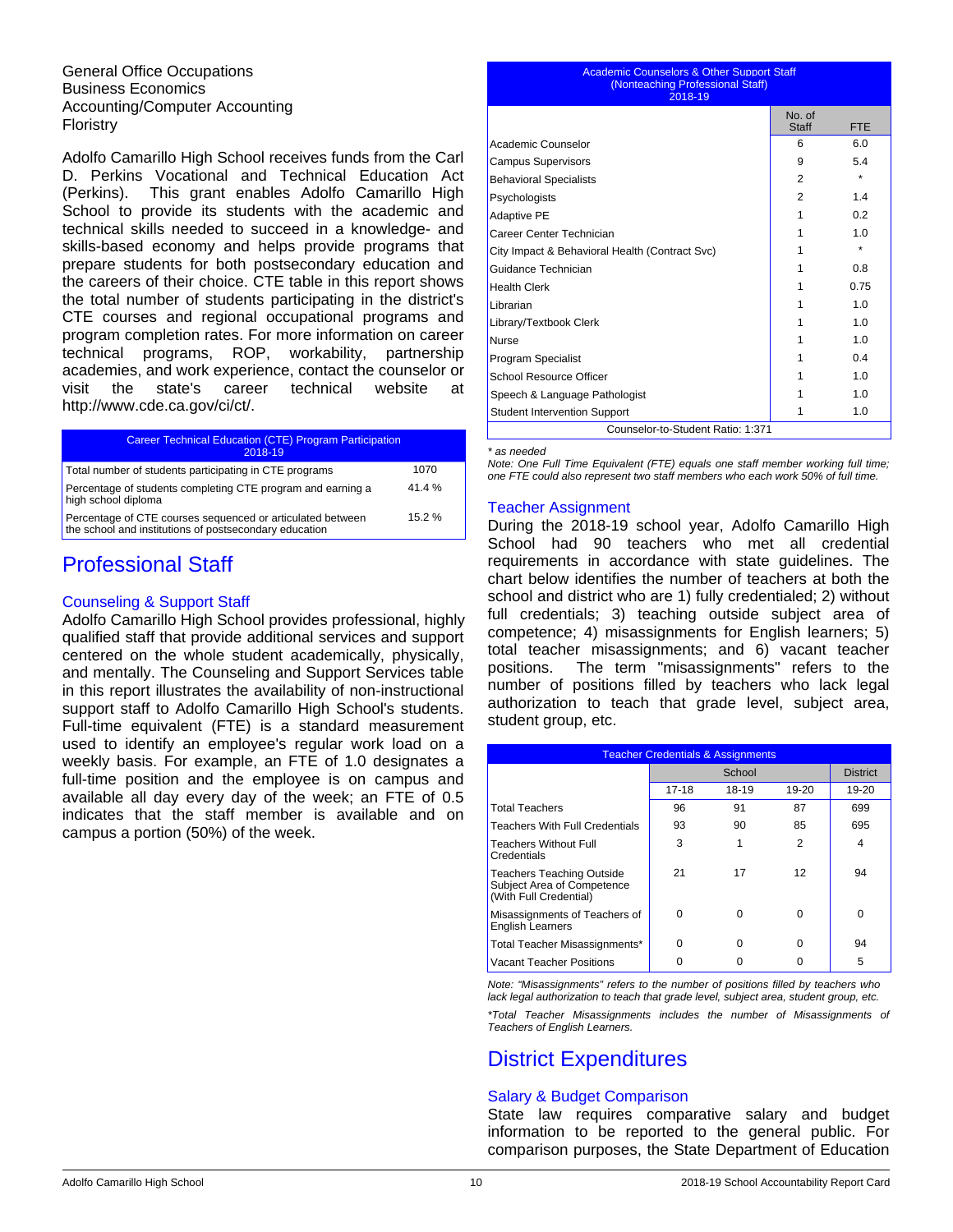General Office Occupations Business Economics Accounting/Computer Accounting Floristry

Adolfo Camarillo High School receives funds from the Carl D. Perkins Vocational and Technical Education Act (Perkins). This grant enables Adolfo Camarillo High School to provide its students with the academic and technical skills needed to succeed in a knowledge- and skills-based economy and helps provide programs that prepare students for both postsecondary education and the careers of their choice. CTE table in this report shows the total number of students participating in the district's CTE courses and regional occupational programs and program completion rates. For more information on career technical programs, ROP, workability, partnership academies, and work experience, contact the counselor or visit the state's career technical website at http://www.cde.ca.gov/ci/ct/.

| <b>Career Technical Education (CTE) Program Participation</b><br>2018-19                                             |       |
|----------------------------------------------------------------------------------------------------------------------|-------|
| Total number of students participating in CTE programs                                                               | 1070  |
| Percentage of students completing CTE program and earning a<br>high school diploma                                   | 41.4% |
| Percentage of CTE courses sequenced or articulated between<br>the school and institutions of postsecondary education | 15.2% |

## Professional Staff

## Counseling & Support Staff

Adolfo Camarillo High School provides professional, highly qualified staff that provide additional services and support centered on the whole student academically, physically, and mentally. The Counseling and Support Services table in this report illustrates the availability of non-instructional support staff to Adolfo Camarillo High School's students. Full-time equivalent (FTE) is a standard measurement used to identify an employee's regular work load on a weekly basis. For example, an FTE of 1.0 designates a full-time position and the employee is on campus and available all day every day of the week; an FTE of 0.5 indicates that the staff member is available and on campus a portion (50%) of the week.

#### Academic Counselors & Other Support Staff (Nonteaching Professional Staff) 2018-19

|                                                | No. of<br>Staff | <b>FTE</b> |
|------------------------------------------------|-----------------|------------|
| Academic Counselor                             | 6               | 6.0        |
| <b>Campus Supervisors</b>                      | 9               | 5.4        |
| <b>Behavioral Specialists</b>                  | 2               | $\star$    |
| Psychologists                                  | 2               | 1.4        |
| Adaptive PE                                    |                 | 0.2        |
| Career Center Technician                       |                 | 1.0        |
| City Impact & Behavioral Health (Contract Svc) |                 | $\star$    |
| Guidance Technician                            |                 | 0.8        |
| <b>Health Clerk</b>                            |                 | 0.75       |
| Librarian                                      |                 | 1.0        |
| Library/Textbook Clerk                         |                 | 1.0        |
| Nurse                                          |                 | 1.0        |
| <b>Program Specialist</b>                      |                 | 0.4        |
| School Resource Officer                        |                 | 1.0        |
| Speech & Language Pathologist                  |                 | 1.0        |
| <b>Student Intervention Support</b>            |                 | 1.0        |
| Counselor-to-Student Ratio: 1:371              |                 |            |

*\* as needed*

*Note: One Full Time Equivalent (FTE) equals one staff member working full time; one FTE could also represent two staff members who each work 50% of full time.*

### Teacher Assignment

During the 2018-19 school year, Adolfo Camarillo High School had 90 teachers who met all credential requirements in accordance with state guidelines. The chart below identifies the number of teachers at both the school and district who are 1) fully credentialed; 2) without full credentials; 3) teaching outside subject area of competence; 4) misassignments for English learners; 5) total teacher misassignments; and 6) vacant teacher positions. The term "misassignments" refers to the number of positions filled by teachers who lack legal authorization to teach that grade level, subject area, student group, etc.

| <b>Teacher Credentials &amp; Assignments</b>                                      |        |       |       |                 |
|-----------------------------------------------------------------------------------|--------|-------|-------|-----------------|
|                                                                                   | School |       |       | <b>District</b> |
|                                                                                   | 17-18  | 18-19 | 19-20 | 19-20           |
| <b>Total Teachers</b>                                                             | 96     | 91    | 87    | 699             |
| Teachers With Full Credentials                                                    | 93     | 90    | 85    | 695             |
| Teachers Without Full<br>Credentials                                              | 3      | 1     | 2     | 4               |
| Teachers Teaching Outside<br>Subject Area of Competence<br>(With Full Credential) | 21     | 17    | 12    | 94              |
| Misassignments of Teachers of<br><b>English Learners</b>                          | U      | ŋ     | 0     | $\Omega$        |
| Total Teacher Misassignments*                                                     | ŋ      | n     | 0     | 94              |
| <b>Vacant Teacher Positions</b>                                                   |        |       |       | 5               |

*Note: "Misassignments" refers to the number of positions filled by teachers who lack legal authorization to teach that grade level, subject area, student group, etc. \*Total Teacher Misassignments includes the number of Misassignments of Teachers of English Learners.*

# District Expenditures

## Salary & Budget Comparison

State law requires comparative salary and budget information to be reported to the general public. For comparison purposes, the State Department of Education